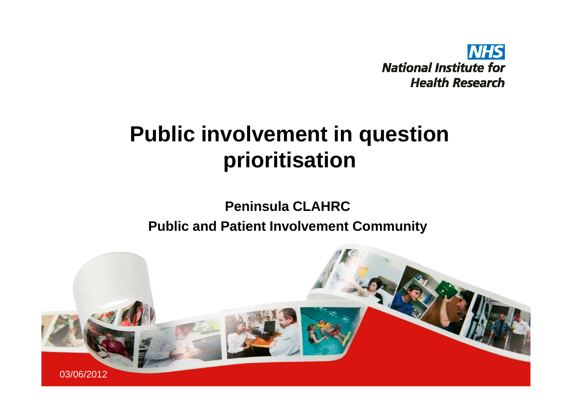

#### **Public involvement in question prioritisation**

#### **Peninsula CLAHRCPublic and Patient Involvement Community**

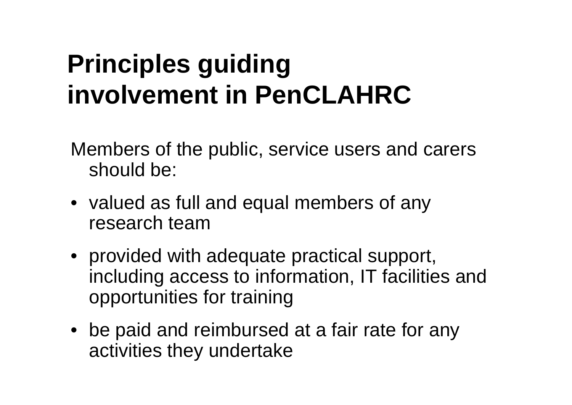## **Principles guiding involvement in PenCLAHRC**

Members of the public, service users and carers should be:

- valued as full and equal members of any research team
- provided with adequate practical support, including access to information, IT facilities and opportunities for training
- be paid and reimbursed at a fair rate for any activities they undertake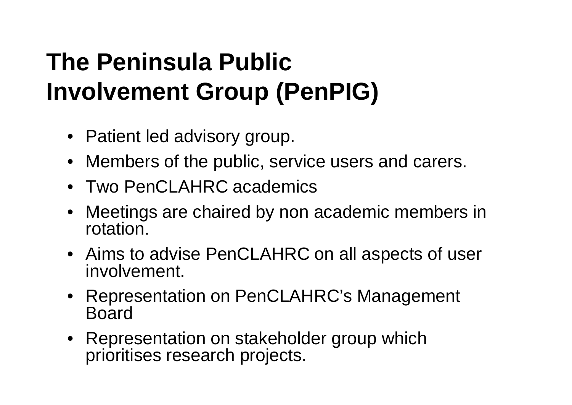## **The Peninsula Public Involvement Group (PenPIG)**

- Patient led advisory group.
- Members of the public, service users and carers.
- Two PenCLAHRC academics
- Meetings are chaired by non academic members in rotation.
- Aims to advise PenCLAHRC on all aspects of user involvement.
- Representation on PenCLAHRC's Management Board
- Representation on stakeholder group which prioritises research projects.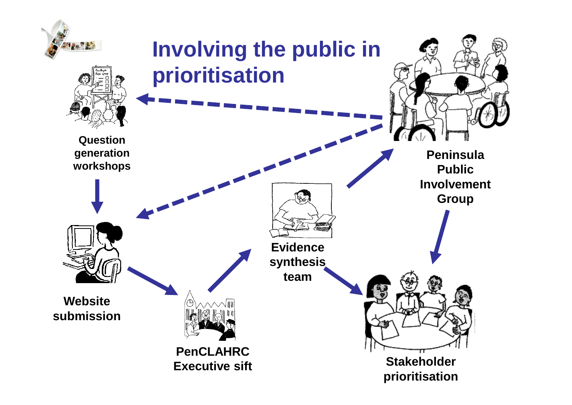![](_page_3_Figure_0.jpeg)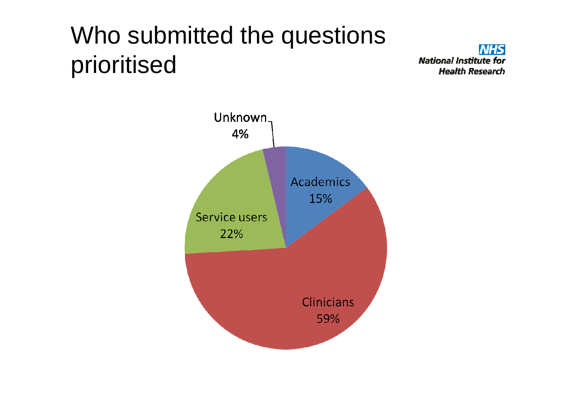## Who submitted the questions prioritised

**NHS National Institute for Health Research** 

![](_page_4_Figure_2.jpeg)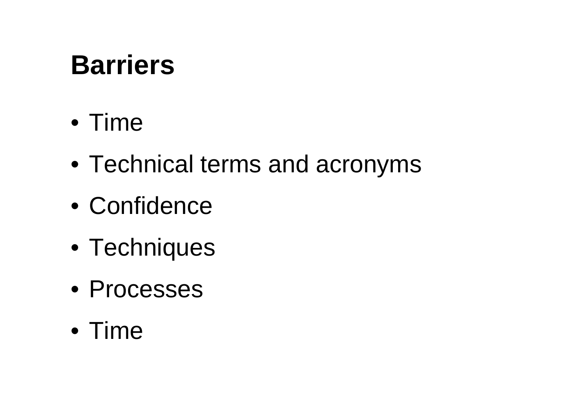# **Barriers**

## • Time

- Technical terms and acronyms
- Confidence
- Techniques
- Processes
- Time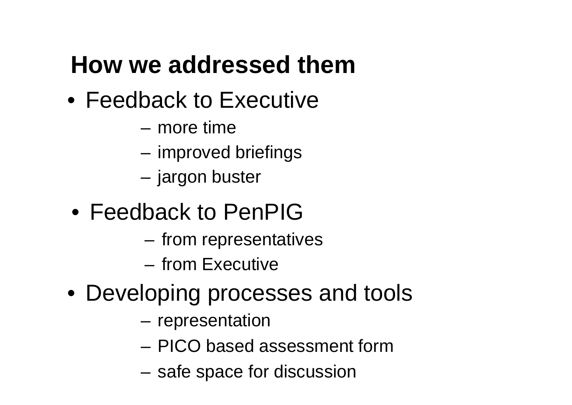## **How we addressed them**

- Feedback to Executive
	- –more time
	- –improved briefings
	- –jargon buster
- Feedback to PenPIG
	- $-$  шам гаргазарга from representatives
	- from Executive
- Developing processes and tools
	- –representation
	- –PICO based assessment form
	- and the state of the safe space for discussion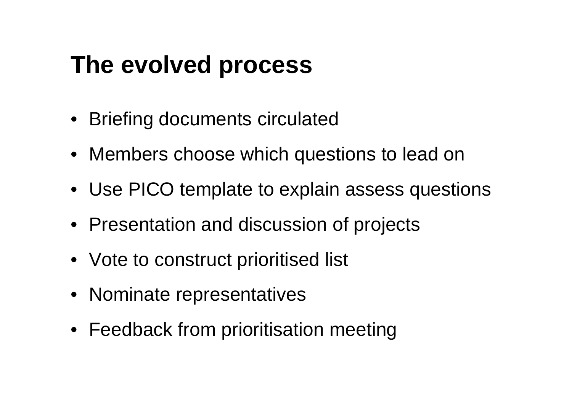### **The evolved process**

- Briefing documents circulated
- Members choose which questions to lead on
- Use PICO template to explain assess questions
- Presentation and discussion of projects
- Vote to construct prioritised list
- Nominate representatives
- Feedback from prioritisation meeting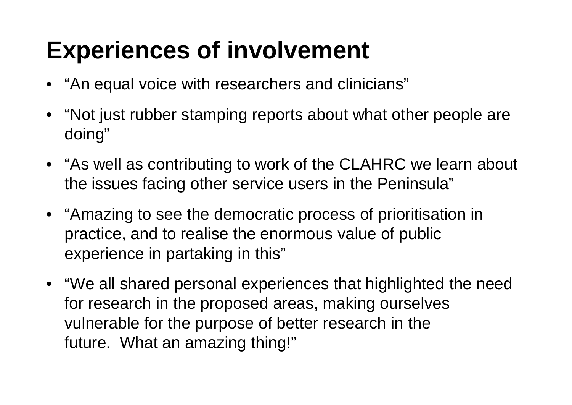## **Experiences of involvement**

- "An equal voice with researchers and clinicians"
- "Not just rubber stamping reports about what other people are doing"
- "As well as contributing to work of the CLAHRC we learn about the issues facing other service users in the Peninsula"
- "Amazing to see the democratic process of prioritisation in practice, and to realise the enormous value of public experience in partaking in this"
- "We all shared personal experiences that highlighted the need for research in the proposed areas, making ourselves vulnerable for the purpose of better research in the future. What an amazing thing!"